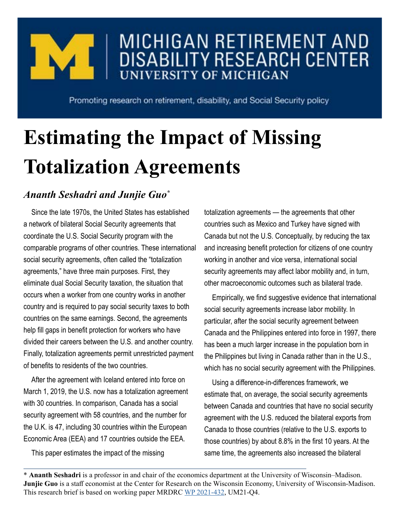

## MICHIGAN RETIREMENT AND **DISABILITY RESEARCH CENTER UNIVERSITY OF MICHIGAN**

Promoting research on retirement, disability, and Social Security policy

# **Estimating the Impact of Missing Totalization Agreements**

## *Ananth Seshadri and Junjie Guo\**

Since the late 1970s, the United States has established a network of bilateral Social Security agreements that coordinate the U.S. Social Security program with the comparable programs of other countries. These international social security agreements, often called the "totalization agreements," have three main purposes. First, they eliminate dual Social Security taxation, the situation that occurs when a worker from one country works in another country and is required to pay social security taxes to both countries on the same earnings. Second, the agreements help fill gaps in benefit protection for workers who have divided their careers between the U.S. and another country. Finally, totalization agreements permit unrestricted payment of benefits to residents of the two countries.

After the agreement with Iceland entered into force on March 1, 2019, the U.S. now has a totalization agreement with 30 countries. In comparison, Canada has a social security agreement with 58 countries, and the number for the U.K. is 47, including 30 countries within the European Economic Area (EEA) and 17 countries outside the EEA.

This paper estimates the impact of the missing

totalization agreements — the agreements that other countries such as Mexico and Turkey have signed with Canada but not the U.S. Conceptually, by reducing the tax and increasing benefit protection for citizens of one country working in another and vice versa, international social security agreements may affect labor mobility and, in turn, other macroeconomic outcomes such as bilateral trade.

Empirically, we find suggestive evidence that international social security agreements increase labor mobility. In particular, after the social security agreement between Canada and the Philippines entered into force in 1997, there has been a much larger increase in the population born in the Philippines but living in Canada rather than in the U.S., which has no social security agreement with the Philippines.

Using a difference-in-differences framework, we estimate that, on average, the social security agreements between Canada and countries that have no social security agreement with the U.S. reduced the bilateral exports from Canada to those countries (relative to the U.S. exports to those countries) by about 8.8% in the first 10 years. At the same time, the agreements also increased the bilateral

\* **Ananth Seshadri** is a professor in and chair of the economics department at the University of Wisconsin–Madison. **Junjie Guo** is a staff economist at the Center for Research on the Wisconsin Economy, University of Wisconsin-Madison. This research brief is based on working paper MRDRC [WP 2021-432,](https://mrdrc.isr.umich.edu/pubs/estimating-the-impact-of-missing-totalization-agreements/) UM21-Q4.